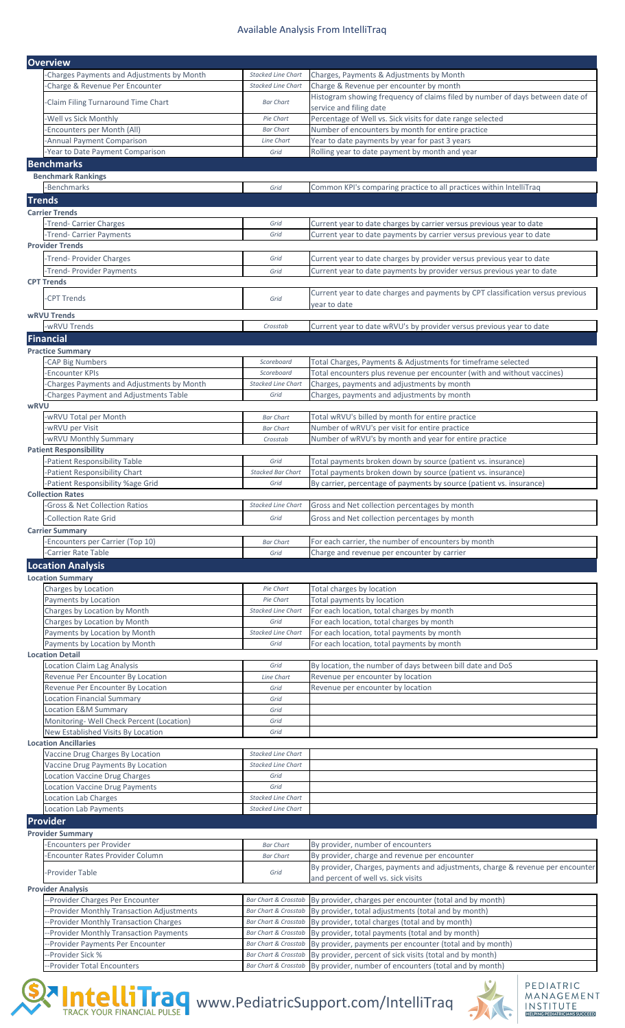## Available Analysis From IntelliTraq

|             | <b>Overview</b>                                                                       |                                                                    |                                                                                                     |  |  |
|-------------|---------------------------------------------------------------------------------------|--------------------------------------------------------------------|-----------------------------------------------------------------------------------------------------|--|--|
|             | -Charges Payments and Adjustments by Month                                            | <b>Stacked Line Chart</b>                                          | Charges, Payments & Adjustments by Month                                                            |  |  |
|             | -Charge & Revenue Per Encounter                                                       | <b>Stacked Line Chart</b>                                          | Charge & Revenue per encounter by month                                                             |  |  |
|             |                                                                                       |                                                                    | Histogram showing frequency of claims filed by number of days between date of                       |  |  |
|             | -Claim Filing Turnaround Time Chart                                                   | <b>Bar Chart</b>                                                   | service and filing date                                                                             |  |  |
|             | <b>Well vs Sick Monthly</b>                                                           | Pie Chart                                                          | Percentage of Well vs. Sick visits for date range selected                                          |  |  |
|             | -Encounters per Month (All)                                                           | <b>Bar Chart</b>                                                   | Number of encounters by month for entire practice                                                   |  |  |
|             | -Annual Payment Comparison                                                            | Line Chart                                                         | Year to date payments by year for past 3 years                                                      |  |  |
|             | -Year to Date Payment Comparison                                                      | Grid                                                               | Rolling year to date payment by month and year                                                      |  |  |
|             | <b>Benchmarks</b>                                                                     |                                                                    |                                                                                                     |  |  |
|             | <b>Benchmark Rankings</b>                                                             |                                                                    |                                                                                                     |  |  |
|             | -Benchmarks                                                                           | Grid                                                               | Common KPI's comparing practice to all practices within IntelliTraq                                 |  |  |
|             | <b>Trends</b>                                                                         |                                                                    |                                                                                                     |  |  |
|             | <b>Carrier Trends</b>                                                                 |                                                                    |                                                                                                     |  |  |
|             | -Trend- Carrier Charges                                                               | Grid                                                               | Current year to date charges by carrier versus previous year to date                                |  |  |
|             | -Trend- Carrier Payments                                                              | Grid                                                               | Current year to date payments by carrier versus previous year to date                               |  |  |
|             | <b>Provider Trends</b>                                                                |                                                                    |                                                                                                     |  |  |
|             | -Trend- Provider Charges                                                              | Grid                                                               | Current year to date charges by provider versus previous year to date                               |  |  |
|             | -Trend- Provider Payments                                                             | Grid                                                               | Current year to date payments by provider versus previous year to date                              |  |  |
|             | <b>CPT Trends</b>                                                                     |                                                                    |                                                                                                     |  |  |
|             |                                                                                       |                                                                    | Current year to date charges and payments by CPT classification versus previous                     |  |  |
|             | -CPT Trends                                                                           | Grid                                                               | year to date                                                                                        |  |  |
|             | <b>wRVU Trends</b>                                                                    |                                                                    |                                                                                                     |  |  |
|             | -wRVU Trends                                                                          | Crosstab                                                           | Current year to date wRVU's by provider versus previous year to date                                |  |  |
|             | <b>Financial</b>                                                                      |                                                                    |                                                                                                     |  |  |
|             | <b>Practice Summary</b>                                                               |                                                                    |                                                                                                     |  |  |
|             | -CAP Big Numbers                                                                      | Scoreboard                                                         | Total Charges, Payments & Adjustments for timeframe selected                                        |  |  |
|             | -Encounter KPIs                                                                       | Scoreboard                                                         | Total encounters plus revenue per encounter (with and without vaccines)                             |  |  |
|             | -Charges Payments and Adjustments by Month                                            | <b>Stacked Line Chart</b>                                          | Charges, payments and adjustments by month                                                          |  |  |
|             | -Charges Payment and Adjustments Table                                                | Grid                                                               | Charges, payments and adjustments by month                                                          |  |  |
| <b>wRVU</b> |                                                                                       |                                                                    |                                                                                                     |  |  |
|             | -wRVU Total per Month                                                                 | <b>Bar Chart</b>                                                   | Total wRVU's billed by month for entire practice                                                    |  |  |
|             | -wRVU per Visit                                                                       | <b>Bar Chart</b>                                                   | Number of wRVU's per visit for entire practice                                                      |  |  |
|             | -wRVU Monthly Summary                                                                 | Crosstab                                                           | Number of wRVU's by month and year for entire practice                                              |  |  |
|             | <b>Patient Responsibility</b>                                                         |                                                                    |                                                                                                     |  |  |
|             | -Patient Responsibility Table                                                         | Grid                                                               | Total payments broken down by source (patient vs. insurance)                                        |  |  |
|             | -Patient Responsibility Chart                                                         | <b>Stacked Bar Chart</b>                                           | Total payments broken down by source (patient vs. insurance)                                        |  |  |
|             | -Patient Responsibility %age Grid                                                     | Grid                                                               | By carrier, percentage of payments by source (patient vs. insurance)                                |  |  |
|             | <b>Collection Rates</b><br><b>Gross &amp; Net Collection Ratios</b>                   | <b>Stacked Line Chart</b>                                          | Gross and Net collection percentages by month                                                       |  |  |
|             |                                                                                       |                                                                    |                                                                                                     |  |  |
|             | <b>Collection Rate Grid</b>                                                           | Grid                                                               | Gross and Net collection percentages by month                                                       |  |  |
|             | <b>Carrier Summary</b>                                                                |                                                                    |                                                                                                     |  |  |
|             | -Encounters per Carrier (Top 10)<br>-Carrier Rate Table                               | <b>Bar Chart</b><br>Grid                                           | For each carrier, the number of encounters by month<br>Charge and revenue per encounter by carrier  |  |  |
|             | <b>Location Analysis</b>                                                              |                                                                    |                                                                                                     |  |  |
|             | <b>Location Summary</b>                                                               |                                                                    |                                                                                                     |  |  |
|             | Charges by Location                                                                   | Pie Chart                                                          | Total charges by location                                                                           |  |  |
|             | Payments by Location                                                                  | Pie Chart                                                          | Total payments by location                                                                          |  |  |
|             | Charges by Location by Month                                                          | <b>Stacked Line Chart</b>                                          | For each location, total charges by month                                                           |  |  |
|             | Charges by Location by Month                                                          | Grid                                                               | For each location, total charges by month                                                           |  |  |
|             | Payments by Location by Month                                                         | <b>Stacked Line Chart</b>                                          | For each location, total payments by month                                                          |  |  |
|             | Payments by Location by Month                                                         | Grid                                                               | For each location, total payments by month                                                          |  |  |
|             | <b>Location Detail</b>                                                                |                                                                    |                                                                                                     |  |  |
|             | Location Claim Lag Analysis                                                           | Grid                                                               | By location, the number of days between bill date and DoS                                           |  |  |
|             | Revenue Per Encounter By Location                                                     | Line Chart                                                         | Revenue per encounter by location                                                                   |  |  |
|             | Revenue Per Encounter By Location                                                     | Grid                                                               | Revenue per encounter by location                                                                   |  |  |
|             | <b>Location Financial Summary</b>                                                     | Grid                                                               |                                                                                                     |  |  |
|             | Location E&M Summary                                                                  | Grid                                                               |                                                                                                     |  |  |
|             | Monitoring- Well Check Percent (Location)                                             | Grid                                                               |                                                                                                     |  |  |
|             | New Established Visits By Location<br><b>Location Ancillaries</b>                     | Grid                                                               |                                                                                                     |  |  |
|             | Vaccine Drug Charges By Location                                                      | <b>Stacked Line Chart</b>                                          |                                                                                                     |  |  |
|             | Vaccine Drug Payments By Location                                                     | <b>Stacked Line Chart</b>                                          |                                                                                                     |  |  |
|             | <b>Location Vaccine Drug Charges</b>                                                  | Grid                                                               |                                                                                                     |  |  |
|             | <b>Location Vaccine Drug Payments</b>                                                 | Grid                                                               |                                                                                                     |  |  |
|             | <b>Location Lab Charges</b>                                                           | <b>Stacked Line Chart</b>                                          |                                                                                                     |  |  |
|             | <b>Location Lab Payments</b>                                                          | <b>Stacked Line Chart</b>                                          |                                                                                                     |  |  |
|             | <b>Provider</b>                                                                       |                                                                    |                                                                                                     |  |  |
|             | <b>Provider Summary</b>                                                               |                                                                    |                                                                                                     |  |  |
|             | -Encounters per Provider                                                              | <b>Bar Chart</b>                                                   | By provider, number of encounters                                                                   |  |  |
|             | Encounter Rates Provider Column                                                       | <b>Bar Chart</b>                                                   | By provider, charge and revenue per encounter                                                       |  |  |
|             | -Provider Table                                                                       | Grid                                                               | By provider, Charges, payments and adjustments, charge & revenue per encounter                      |  |  |
|             |                                                                                       |                                                                    | and percent of well vs. sick visits                                                                 |  |  |
|             | <b>Provider Analysis</b>                                                              |                                                                    |                                                                                                     |  |  |
|             | -Provider Charges Per Encounter                                                       | <b>Bar Chart &amp; Crosstab</b>                                    | By provider, charges per encounter (total and by month)                                             |  |  |
|             | -Provider Monthly Transaction Adjustments                                             | <b>Bar Chart &amp; Crosstab</b>                                    | By provider, total adjustments (total and by month)                                                 |  |  |
|             | <b>Provider Monthly Transaction Charges</b><br>-Provider Monthly Transaction Payments | <b>Bar Chart &amp; Crosstab</b><br><b>Bar Chart &amp; Crosstab</b> | By provider, total charges (total and by month)<br>By provider, total payments (total and by month) |  |  |
|             | -Provider Payments Per Encounter                                                      | <b>Bar Chart &amp; Crosstab</b>                                    | By provider, payments per encounter (total and by month)                                            |  |  |
|             | Provider Sick %                                                                       | Bar Chart & Crosstab                                               | By provider, percent of sick visits (total and by month)                                            |  |  |
|             | -Provider Total Encounters                                                            | <b>Bar Chart &amp; Crosstab</b>                                    | By provider, number of encounters (total and by month)                                              |  |  |
|             |                                                                                       |                                                                    |                                                                                                     |  |  |



**IntelliTraq** www.PediatricSupport.com/IntelliTraq



PEDIATRIC<br>MANAGEMENT<br>INSTITUTE<br>Helping pediatricians succeed